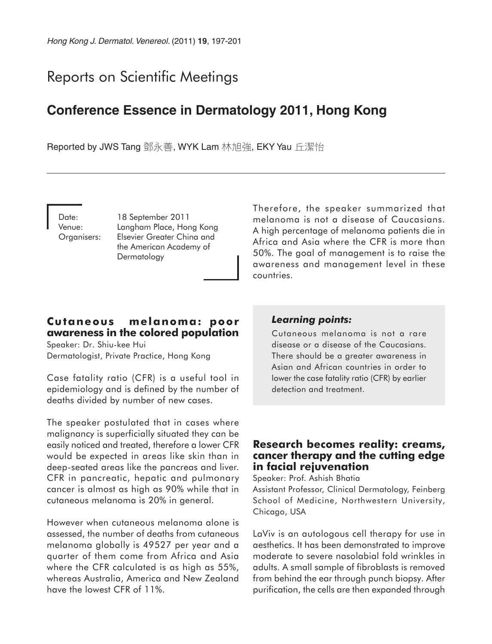# Reports on Scientific Meetings

## **Conference Essence in Dermatology 2011, Hong Kong**

Reported by JWS Tang 鄧永善, WYK Lam 林旭強, EKY Yau 丘潔怡

Date: 18 September 2011 Venue: Langham Place, Hong Kong Organisers: Elsevier Greater China and the American Academy of Dermatology

Therefore, the speaker summarized that melanoma is not a disease of Caucasians. A high percentage of melanoma patients die in Africa and Asia where the CFR is more than 50%. The goal of management is to raise the awareness and management level in these countries.

### **Cutaneous melanoma: poor awareness in the colored population**

Speaker: Dr. Shiu-kee Hui Dermatologist, Private Practice, Hong Kong

Case fatality ratio (CFR) is a useful tool in epidemiology and is defined by the number of deaths divided by number of new cases.

The speaker postulated that in cases where malignancy is superficially situated they can be easily noticed and treated, therefore a lower CFR would be expected in areas like skin than in deep-seated areas like the pancreas and liver. CFR in pancreatic, hepatic and pulmonary cancer is almost as high as 90% while that in cutaneous melanoma is 20% in general.

However when cutaneous melanoma alone is assessed, the number of deaths from cutaneous melanoma globally is 49527 per year and a quarter of them come from Africa and Asia where the CFR calculated is as high as 55%, whereas Australia, America and New Zealand have the lowest CFR of 11%.

#### *Learning points:*

Cutaneous melanoma is not a rare disease or a disease of the Caucasians. There should be a greater awareness in Asian and African countries in order to lower the case fatality ratio (CFR) by earlier detection and treatment.

#### **Research becomes reality: creams, cancer therapy and the cutting edge in facial rejuvenation**

Speaker: Prof. Ashish Bhatia

Assistant Professor, Clinical Dermatology, Feinberg School of Medicine, Northwestern University, Chicago, USA

LaViv is an autologous cell therapy for use in aesthetics. It has been demonstrated to improve moderate to severe nasolabial fold wrinkles in adults. A small sample of fibroblasts is removed from behind the ear through punch biopsy. After purification, the cells are then expanded through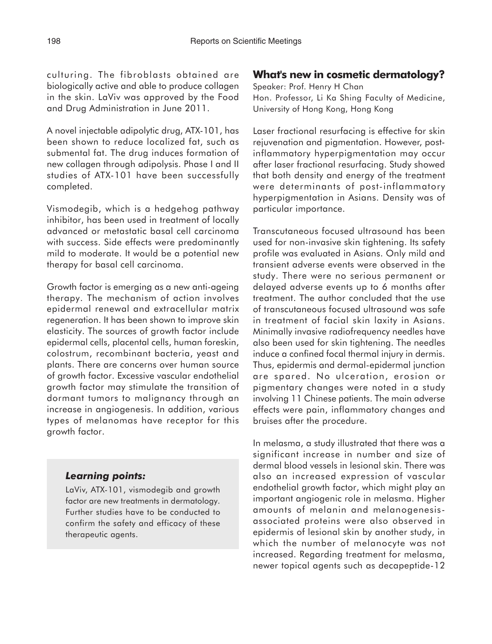culturing. The fibroblasts obtained are biologically active and able to produce collagen in the skin. LaViv was approved by the Food and Drug Administration in June 2011.

A novel injectable adipolytic drug, ATX-101, has been shown to reduce localized fat, such as submental fat. The drug induces formation of new collagen through adipolysis. Phase I and II studies of ATX-101 have been successfully completed.

Vismodegib, which is a hedgehog pathway inhibitor, has been used in treatment of locally advanced or metastatic basal cell carcinoma with success. Side effects were predominantly mild to moderate. It would be a potential new therapy for basal cell carcinoma.

Growth factor is emerging as a new anti-ageing therapy. The mechanism of action involves epidermal renewal and extracellular matrix regeneration. It has been shown to improve skin elasticity. The sources of growth factor include epidermal cells, placental cells, human foreskin, colostrum, recombinant bacteria, yeast and plants. There are concerns over human source of growth factor. Excessive vascular endothelial growth factor may stimulate the transition of dormant tumors to malignancy through an increase in angiogenesis. In addition, various types of melanomas have receptor for this growth factor.

#### *Learning points:*

LaViv, ATX-101, vismodegib and growth factor are new treatments in dermatology. Further studies have to be conducted to confirm the safety and efficacy of these therapeutic agents.

### **What's new in cosmetic dermatology?**

Speaker: Prof. Henry H Chan Hon. Professor, Li Ka Shing Faculty of Medicine, University of Hong Kong, Hong Kong

Laser fractional resurfacing is effective for skin rejuvenation and pigmentation. However, postinflammatory hyperpigmentation may occur after laser fractional resurfacing. Study showed that both density and energy of the treatment were determinants of post-inflammatory hyperpigmentation in Asians. Density was of particular importance.

Transcutaneous focused ultrasound has been used for non-invasive skin tightening. Its safety profile was evaluated in Asians. Only mild and transient adverse events were observed in the study. There were no serious permanent or delayed adverse events up to 6 months after treatment. The author concluded that the use of transcutaneous focused ultrasound was safe in treatment of facial skin laxity in Asians. Minimally invasive radiofrequency needles have also been used for skin tightening. The needles induce a confined focal thermal injury in dermis. Thus, epidermis and dermal-epidermal junction are spared. No ulceration, erosion or pigmentary changes were noted in a study involving 11 Chinese patients. The main adverse effects were pain, inflammatory changes and bruises after the procedure.

In melasma, a study illustrated that there was a significant increase in number and size of dermal blood vessels in lesional skin. There was also an increased expression of vascular endothelial growth factor, which might play an important angiogenic role in melasma. Higher amounts of melanin and melanogenesisassociated proteins were also observed in epidermis of lesional skin by another study, in which the number of melanocyte was not increased. Regarding treatment for melasma, newer topical agents such as decapeptide-12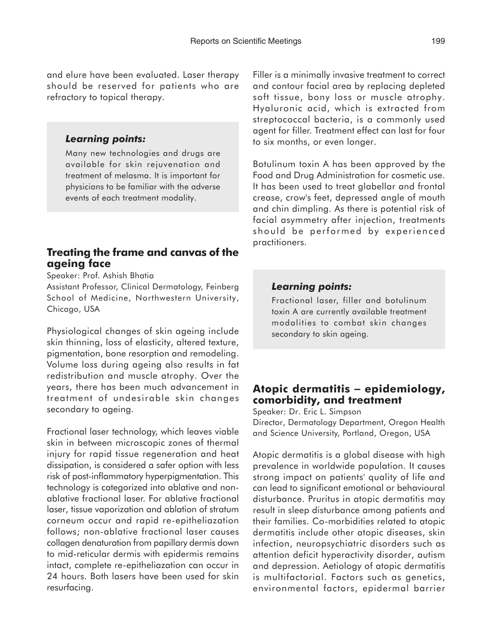and elure have been evaluated. Laser therapy should be reserved for patients who are refractory to topical therapy.

#### *Learning points:*

Many new technologies and drugs are available for skin rejuvenation and treatment of melasma. It is important for physicians to be familiar with the adverse events of each treatment modality.

### **Treating the frame and canvas of the ageing face**

Speaker: Prof. Ashish Bhatia

Assistant Professor, Clinical Dermatology, Feinberg School of Medicine, Northwestern University, Chicago, USA

Physiological changes of skin ageing include skin thinning, loss of elasticity, altered texture, pigmentation, bone resorption and remodeling. Volume loss during ageing also results in fat redistribution and muscle atrophy. Over the years, there has been much advancement in treatment of undesirable skin changes secondary to ageing.

Fractional laser technology, which leaves viable skin in between microscopic zones of thermal injury for rapid tissue regeneration and heat dissipation, is considered a safer option with less risk of post-inflammatory hyperpigmentation. This technology is categorized into ablative and nonablative fractional laser. For ablative fractional laser, tissue vaporization and ablation of stratum corneum occur and rapid re-epitheliazation follows; non-ablative fractional laser causes collagen denaturation from papillary dermis down to mid-reticular dermis with epidermis remains intact, complete re-epitheliazation can occur in 24 hours. Both lasers have been used for skin resurfacing.

Filler is a minimally invasive treatment to correct and contour facial area by replacing depleted soft tissue, bony loss or muscle atrophy. Hyaluronic acid, which is extracted from streptococcal bacteria, is a commonly used agent for filler. Treatment effect can last for four to six months, or even longer.

Botulinum toxin A has been approved by the Food and Drug Administration for cosmetic use. It has been used to treat glabellar and frontal crease, crow's feet, depressed angle of mouth and chin dimpling. As there is potential risk of facial asymmetry after injection, treatments should be performed by experienced practitioners.

#### *Learning points:*

Fractional laser, filler and botulinum toxin A are currently available treatment modalities to combat skin changes secondary to skin ageing.

#### **Atopic dermatitis** − **epidemiology, comorbidity, and treatment**

Speaker: Dr. Eric L. Simpson Director, Dermatology Department, Oregon Health and Science University, Portland, Oregon, USA

Atopic dermatitis is a global disease with high prevalence in worldwide population. It causes strong impact on patients' quality of life and can lead to significant emotional or behavioural disturbance. Pruritus in atopic dermatitis may result in sleep disturbance among patients and their families. Co-morbidities related to atopic dermatitis include other atopic diseases, skin infection, neuropsychiatric disorders such as attention deficit hyperactivity disorder, autism and depression. Aetiology of atopic dermatitis is multifactorial. Factors such as genetics, environmental factors, epidermal barrier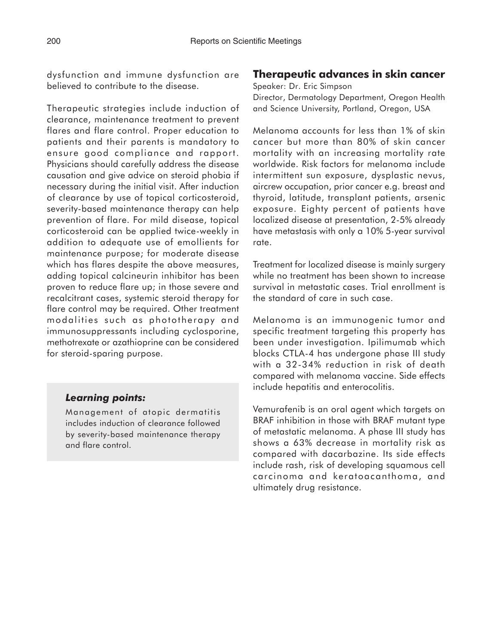dysfunction and immune dysfunction are believed to contribute to the disease.

Therapeutic strategies include induction of clearance, maintenance treatment to prevent flares and flare control. Proper education to patients and their parents is mandatory to ensure good compliance and rapport. Physicians should carefully address the disease causation and give advice on steroid phobia if necessary during the initial visit. After induction of clearance by use of topical corticosteroid, severity-based maintenance therapy can help prevention of flare. For mild disease, topical corticosteroid can be applied twice-weekly in addition to adequate use of emollients for maintenance purpose; for moderate disease which has flares despite the above measures, adding topical calcineurin inhibitor has been proven to reduce flare up; in those severe and recalcitrant cases, systemic steroid therapy for flare control may be required. Other treatment modalities such as phototherapy and immunosuppressants including cyclosporine, methotrexate or azathioprine can be considered for steroid-sparing purpose.

## *Learning points:*

Management of atopic dermatitis includes induction of clearance followed by severity-based maintenance therapy and flare control.

## **Therapeutic advances in skin cancer**

Speaker: Dr. Eric Simpson Director, Dermatology Department, Oregon Health and Science University, Portland, Oregon, USA

Melanoma accounts for less than 1% of skin cancer but more than 80% of skin cancer mortality with an increasing mortality rate worldwide. Risk factors for melanoma include intermittent sun exposure, dysplastic nevus, aircrew occupation, prior cancer e.g. breast and thyroid, latitude, transplant patients, arsenic exposure. Eighty percent of patients have localized disease at presentation, 2-5% already have metastasis with only a 10% 5-year survival rate.

Treatment for localized disease is mainly surgery while no treatment has been shown to increase survival in metastatic cases. Trial enrollment is the standard of care in such case.

Melanoma is an immunogenic tumor and specific treatment targeting this property has been under investigation. Ipilimumab which blocks CTLA-4 has undergone phase III study with a 32-34% reduction in risk of death compared with melanoma vaccine. Side effects include hepatitis and enterocolitis.

Vemurafenib is an oral agent which targets on BRAF inhibition in those with BRAF mutant type of metastatic melanoma. A phase III study has shows a 63% decrease in mortality risk as compared with dacarbazine. Its side effects include rash, risk of developing squamous cell carcinoma and keratoacanthoma, and ultimately drug resistance.